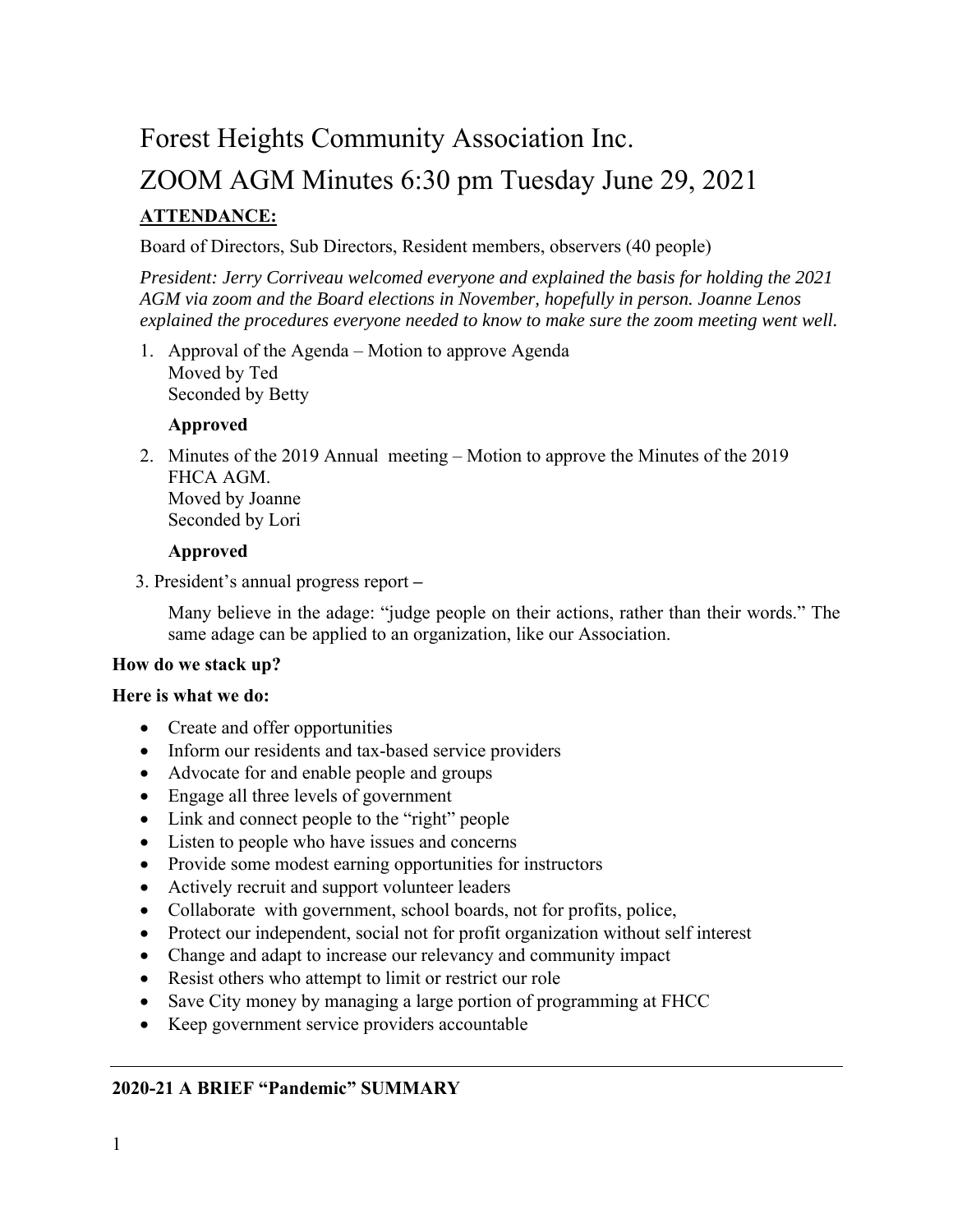## Forest Heights Community Association Inc.

# ZOOM AGM Minutes 6:30 pm Tuesday June 29, 2021 **ATTENDANCE:**

#### Board of Directors, Sub Directors, Resident members, observers (40 people)

*President: Jerry Corriveau welcomed everyone and explained the basis for holding the 2021 AGM via zoom and the Board elections in November, hopefully in person. Joanne Lenos explained the procedures everyone needed to know to make sure the zoom meeting went well.* 

1. Approval of the Agenda – Motion to approve Agenda Moved by Ted Seconded by Betty

#### **Approved**

2. Minutes of the 2019 Annual meeting – Motion to approve the Minutes of the 2019 FHCA AGM. Moved by Joanne Seconded by Lori

#### **Approved**

3. President's annual progress report **–** 

Many believe in the adage: "judge people on their actions, rather than their words." The same adage can be applied to an organization, like our Association.

#### **How do we stack up?**

#### **Here is what we do:**

- Create and offer opportunities
- Inform our residents and tax-based service providers
- Advocate for and enable people and groups
- Engage all three levels of government
- Link and connect people to the "right" people
- Listen to people who have issues and concerns
- Provide some modest earning opportunities for instructors
- Actively recruit and support volunteer leaders
- Collaborate with government, school boards, not for profits, police,
- Protect our independent, social not for profit organization without self interest
- Change and adapt to increase our relevancy and community impact
- Resist others who attempt to limit or restrict our role
- Save City money by managing a large portion of programming at FHCC
- Keep government service providers accountable

#### **2020-21 A BRIEF "Pandemic" SUMMARY**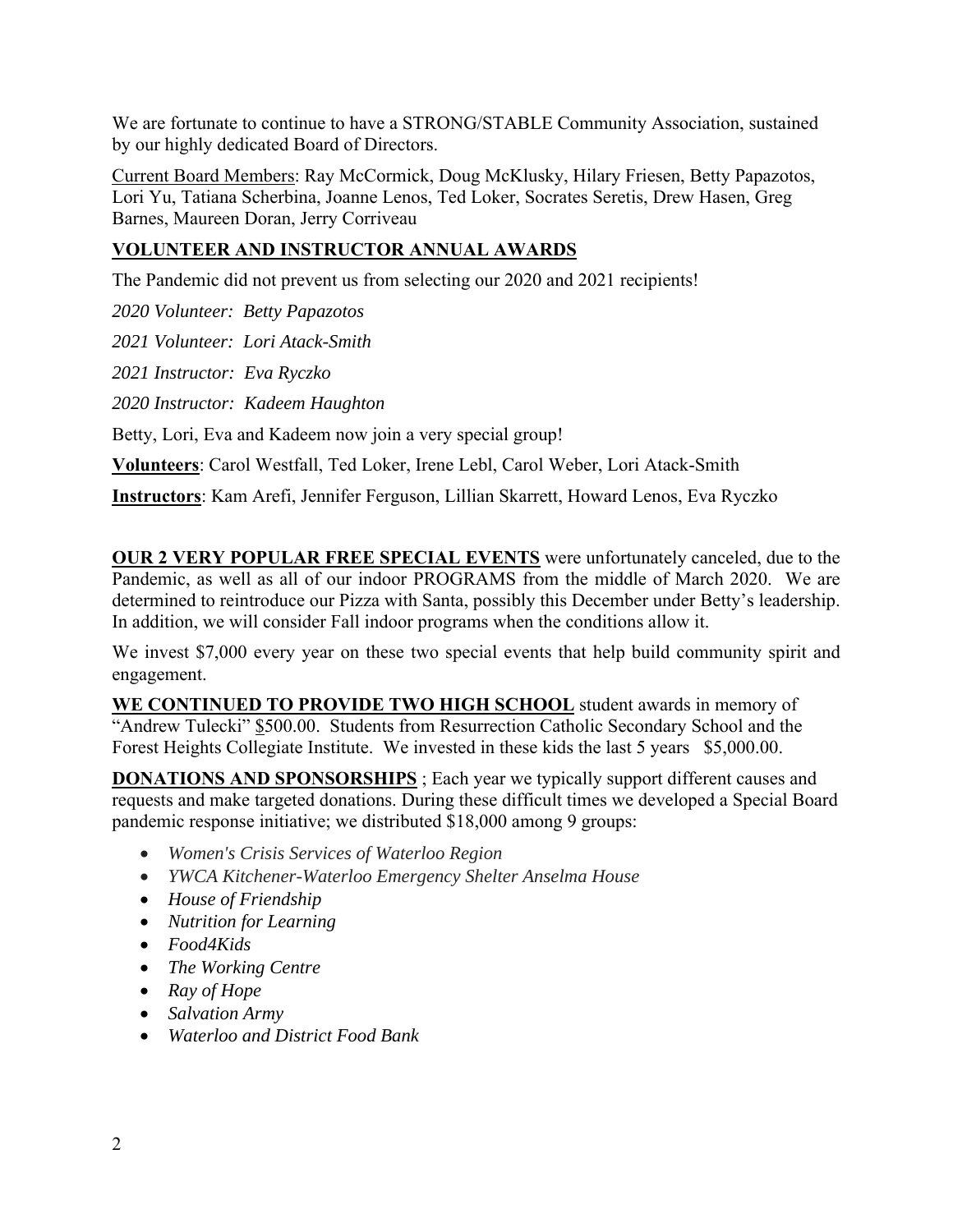We are fortunate to continue to have a STRONG/STABLE Community Association, sustained by our highly dedicated Board of Directors.

Current Board Members: Ray McCormick, Doug McKlusky, Hilary Friesen, Betty Papazotos, Lori Yu, Tatiana Scherbina, Joanne Lenos, Ted Loker, Socrates Seretis, Drew Hasen, Greg Barnes, Maureen Doran, Jerry Corriveau

## **VOLUNTEER AND INSTRUCTOR ANNUAL AWARDS**

The Pandemic did not prevent us from selecting our 2020 and 2021 recipients!

*2020 Volunteer: Betty Papazotos* 

*2021 Volunteer: Lori Atack-Smith* 

*2021 Instructor: Eva Ryczko* 

*2020 Instructor: Kadeem Haughton* 

Betty, Lori, Eva and Kadeem now join a very special group!

**Volunteers**: Carol Westfall, Ted Loker, Irene Lebl, Carol Weber, Lori Atack-Smith

**Instructors**: Kam Arefi, Jennifer Ferguson, Lillian Skarrett, Howard Lenos, Eva Ryczko

**OUR 2 VERY POPULAR FREE SPECIAL EVENTS** were unfortunately canceled, due to the Pandemic, as well as all of our indoor PROGRAMS from the middle of March 2020. We are determined to reintroduce our Pizza with Santa, possibly this December under Betty's leadership. In addition, we will consider Fall indoor programs when the conditions allow it.

We invest \$7,000 every year on these two special events that help build community spirit and engagement.

**WE CONTINUED TO PROVIDE TWO HIGH SCHOOL** student awards in memory of "Andrew Tulecki" \$500.00. Students from Resurrection Catholic Secondary School and the Forest Heights Collegiate Institute. We invested in these kids the last 5 years \$5,000.00.

**DONATIONS AND SPONSORSHIPS** ; Each year we typically support different causes and requests and make targeted donations. During these difficult times we developed a Special Board pandemic response initiative; we distributed \$18,000 among 9 groups:

- *Women's Crisis Services of Waterloo Region*
- *YWCA Kitchener-Waterloo Emergency Shelter Anselma House*
- *House of Friendship*
- *Nutrition for Learning*
- *Food4Kids*
- *The Working Centre*
- *Ray of Hope*
- *Salvation Army*
- *Waterloo and District Food Bank*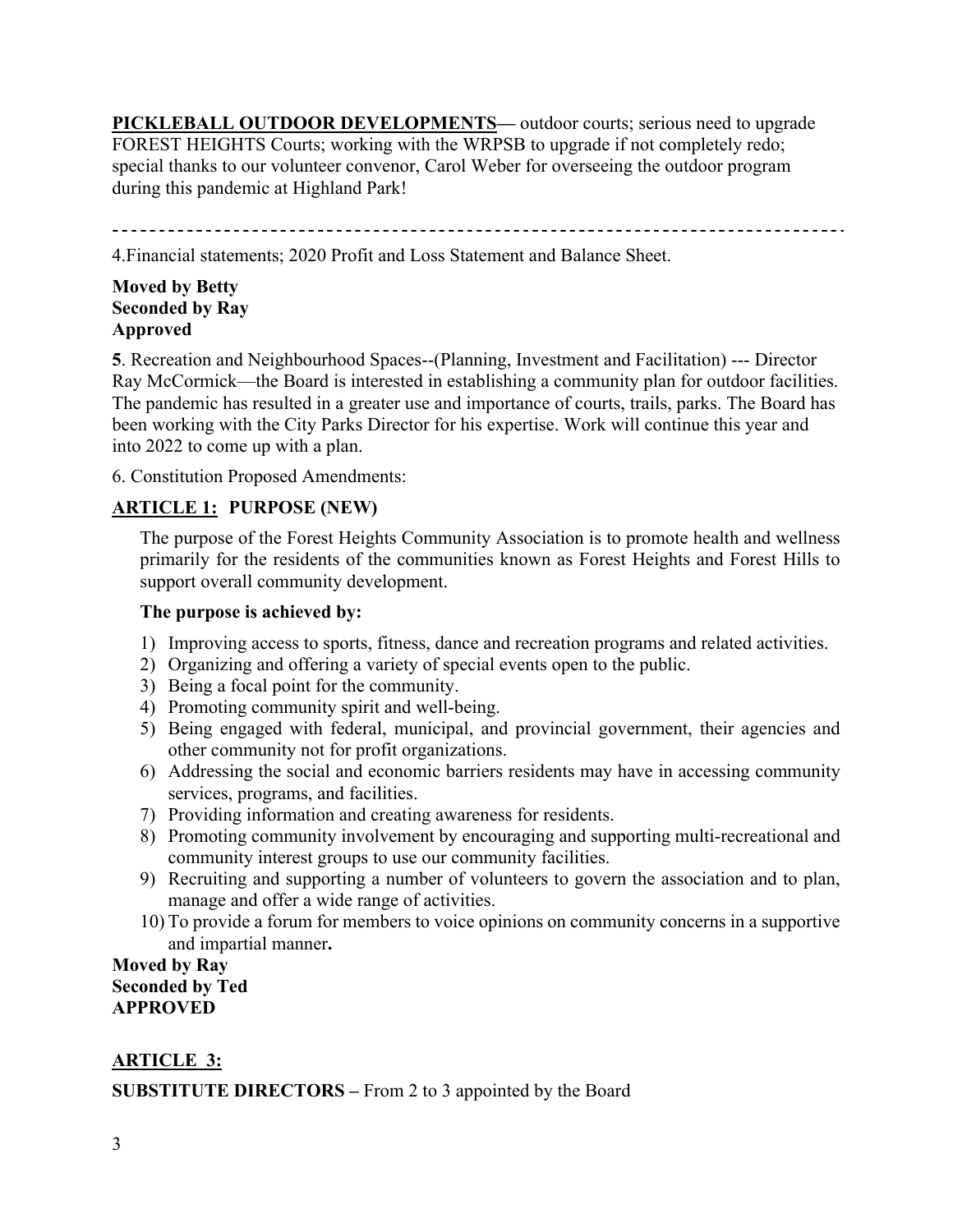**PICKLEBALL OUTDOOR DEVELOPMENTS—** outdoor courts; serious need to upgrade FOREST HEIGHTS Courts; working with the WRPSB to upgrade if not completely redo; special thanks to our volunteer convenor, Carol Weber for overseeing the outdoor program during this pandemic at Highland Park!

4.Financial statements; 2020 Profit and Loss Statement and Balance Sheet.

## **Moved by Betty Seconded by Ray Approved**

**5**. Recreation and Neighbourhood Spaces--(Planning, Investment and Facilitation) --- Director Ray McCormick—the Board is interested in establishing a community plan for outdoor facilities. The pandemic has resulted in a greater use and importance of courts, trails, parks. The Board has been working with the City Parks Director for his expertise. Work will continue this year and into 2022 to come up with a plan.

6. Constitution Proposed Amendments:

## **ARTICLE 1: PURPOSE (NEW)**

The purpose of the Forest Heights Community Association is to promote health and wellness primarily for the residents of the communities known as Forest Heights and Forest Hills to support overall community development.

#### **The purpose is achieved by:**

- 1) Improving access to sports, fitness, dance and recreation programs and related activities.
- 2) Organizing and offering a variety of special events open to the public.
- 3) Being a focal point for the community.
- 4) Promoting community spirit and well-being.
- 5) Being engaged with federal, municipal, and provincial government, their agencies and other community not for profit organizations.
- 6) Addressing the social and economic barriers residents may have in accessing community services, programs, and facilities.
- 7) Providing information and creating awareness for residents.
- 8) Promoting community involvement by encouraging and supporting multi-recreational and community interest groups to use our community facilities.
- 9) Recruiting and supporting a number of volunteers to govern the association and to plan, manage and offer a wide range of activities.
- 10) To provide a forum for members to voice opinions on community concerns in a supportive and impartial manner**.**

## **Moved by Ray Seconded by Ted APPROVED**

## **ARTICLE 3:**

**SUBSTITUTE DIRECTORS –** From 2 to 3 appointed by the Board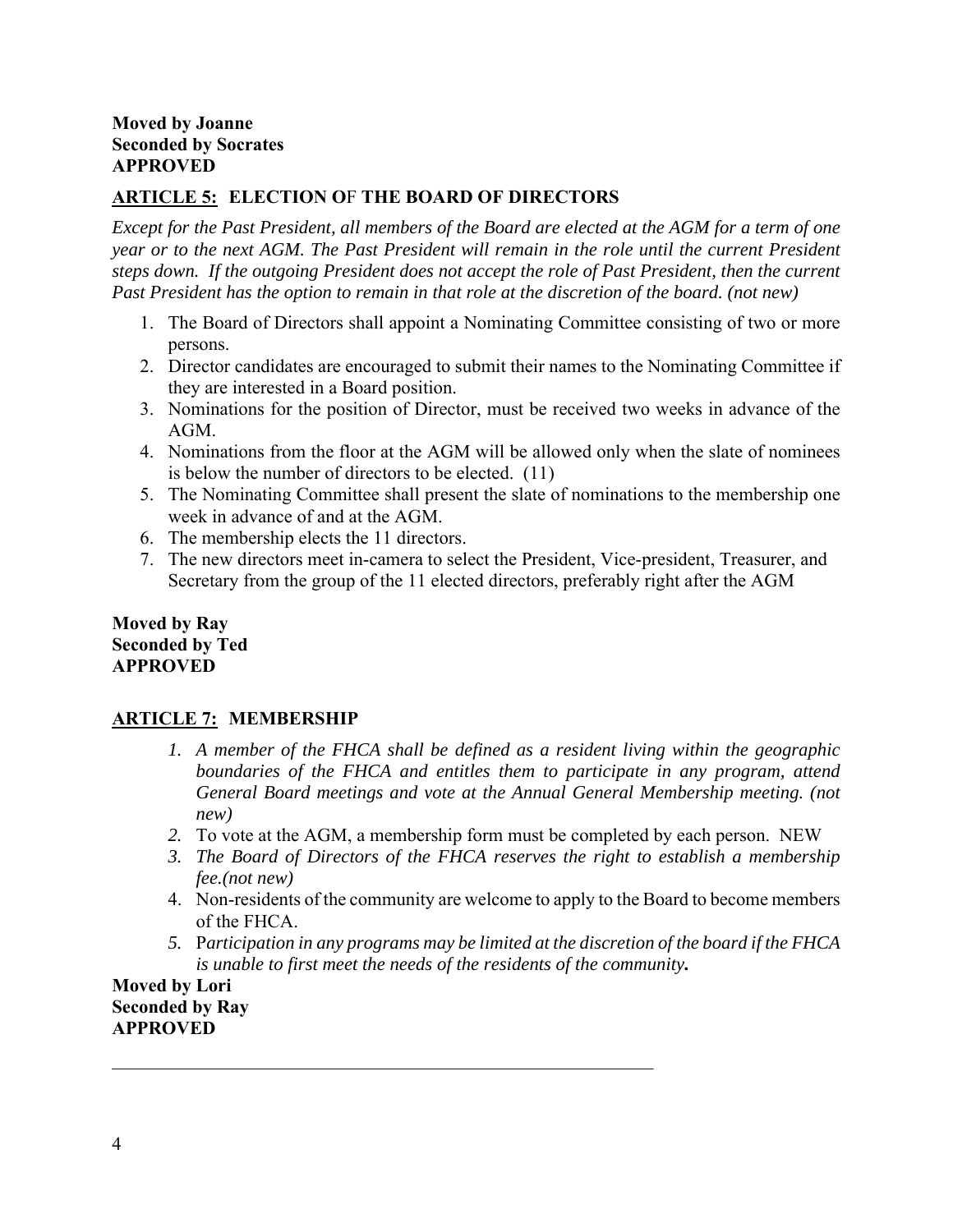## **ARTICLE 5: ELECTION O**F **THE BOARD OF DIRECTORS**

*Except for the Past President, all members of the Board are elected at the AGM for a term of one year or to the next AGM. The Past President will remain in the role until the current President steps down. If the outgoing President does not accept the role of Past President, then the current Past President has the option to remain in that role at the discretion of the board. (not new)* 

- 1. The Board of Directors shall appoint a Nominating Committee consisting of two or more persons.
- 2. Director candidates are encouraged to submit their names to the Nominating Committee if they are interested in a Board position.
- 3. Nominations for the position of Director, must be received two weeks in advance of the AGM.
- 4. Nominations from the floor at the AGM will be allowed only when the slate of nominees is below the number of directors to be elected. (11)
- 5. The Nominating Committee shall present the slate of nominations to the membership one week in advance of and at the AGM.
- 6. The membership elects the 11 directors.
- 7. The new directors meet in-camera to select the President, Vice-president, Treasurer, and Secretary from the group of the 11 elected directors, preferably right after the AGM

#### **Moved by Ray Seconded by Ted APPROVED**

## **ARTICLE 7: MEMBERSHIP**

- *1. A member of the FHCA shall be defined as a resident living within the geographic boundaries of the FHCA and entitles them to participate in any program, attend General Board meetings and vote at the Annual General Membership meeting. (not new)*
- *2.* To vote at the AGM, a membership form must be completed by each person. NEW
- *3. The Board of Directors of the FHCA reserves the right to establish a membership fee.(not new)*
- 4. Non-residents of the community are welcome to apply to the Board to become members of the FHCA.
- *5.* P*articipation in any programs may be limited at the discretion of the board if the FHCA is unable to first meet the needs of the residents of the community.*

**Moved by Lori Seconded by Ray APPROVED**